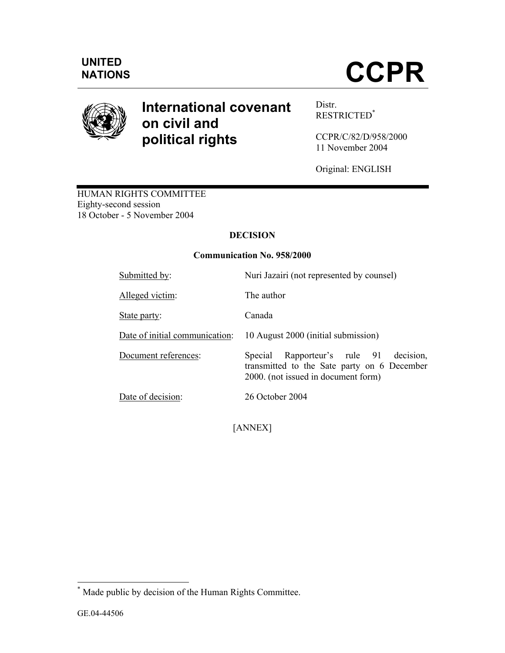

# **International covenant on civil and political rights**

Distr. RESTRICTED\*

CCPR/C/82/D/958/2000 11 November 2004

Original: ENGLISH

HUMAN RIGHTS COMMITTEE Eighty-second session 18 October - 5 November 2004

# **DECISION**

# **Communication No. 958/2000**

| Submitted by:                  | Nuri Jazairi (not represented by counsel)                                                                                          |  |
|--------------------------------|------------------------------------------------------------------------------------------------------------------------------------|--|
| Alleged victim:                | The author                                                                                                                         |  |
| State party:                   | Canada                                                                                                                             |  |
| Date of initial communication: | 10 August 2000 (initial submission)                                                                                                |  |
| Document references:           | Rapporteur's rule 91<br>decision,<br>Special<br>transmitted to the Sate party on 6 December<br>2000. (not issued in document form) |  |
| Date of decision:              | 26 October 2004                                                                                                                    |  |

[ANNEX]

 \* Made public by decision of the Human Rights Committee.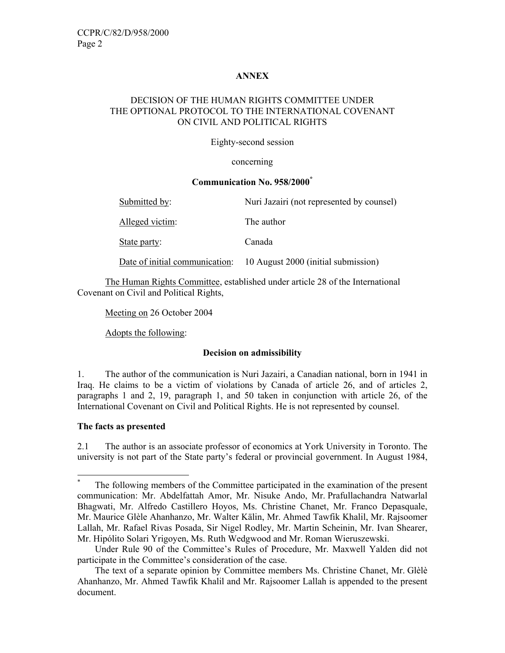# **ANNEX**

# DECISION OF THE HUMAN RIGHTS COMMITTEE UNDER THE OPTIONAL PROTOCOL TO THE INTERNATIONAL COVENANT ON CIVIL AND POLITICAL RIGHTS

#### Eighty-second session

#### concerning

#### **Communication No. 958/2000\***

| Submitted by:                  | Nuri Jazairi (not represented by counsel) |
|--------------------------------|-------------------------------------------|
| Alleged victim:                | The author                                |
| State party:                   | Canada                                    |
| Date of initial communication: | 10 August 2000 (initial submission)       |

 The Human Rights Committee, established under article 28 of the International Covenant on Civil and Political Rights,

Meeting on 26 October 2004

Adopts the following:

#### **Decision on admissibility**

1. The author of the communication is Nuri Jazairi, a Canadian national, born in 1941 in Iraq. He claims to be a victim of violations by Canada of article 26, and of articles 2, paragraphs 1 and 2, 19, paragraph 1, and 50 taken in conjunction with article 26, of the International Covenant on Civil and Political Rights. He is not represented by counsel.

#### **The facts as presented**

-

2.1 The author is an associate professor of economics at York University in Toronto. The university is not part of the State party's federal or provincial government. In August 1984,

<sup>\*</sup> The following members of the Committee participated in the examination of the present communication: Mr. Abdelfattah Amor, Mr. Nisuke Ando, Mr. Prafullachandra Natwarlal Bhagwati, Mr. Alfredo Castillero Hoyos, Ms. Christine Chanet, Mr. Franco Depasquale, Mr. Maurice Glèle Ahanhanzo, Mr. Walter Kälin, Mr. Ahmed Tawfik Khalil, Mr. Rajsoomer Lallah, Mr. Rafael Rivas Posada, Sir Nigel Rodley, Mr. Martin Scheinin, Mr. Ivan Shearer, Mr. Hipólito Solari Yrigoyen, Ms. Ruth Wedgwood and Mr. Roman Wieruszewski.

Under Rule 90 of the Committee's Rules of Procedure, Mr. Maxwell Yalden did not participate in the Committee's consideration of the case.

The text of a separate opinion by Committee members Ms. Christine Chanet, Mr. Glèlè Ahanhanzo, Mr. Ahmed Tawfik Khalil and Mr. Rajsoomer Lallah is appended to the present document.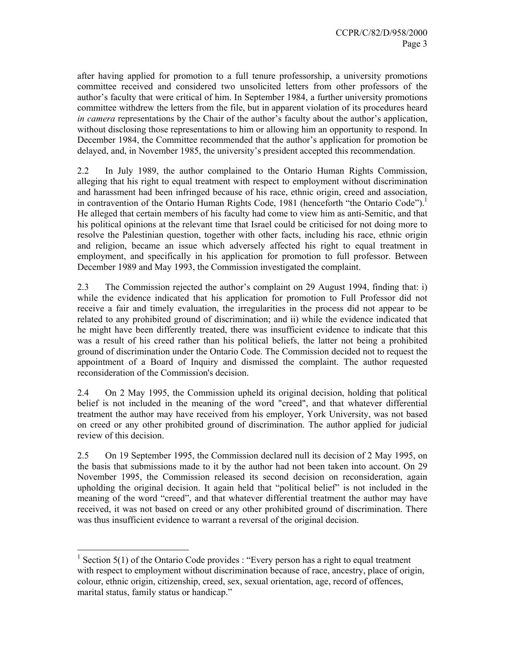after having applied for promotion to a full tenure professorship, a university promotions committee received and considered two unsolicited letters from other professors of the author's faculty that were critical of him. In September 1984, a further university promotions committee withdrew the letters from the file, but in apparent violation of its procedures heard *in camera* representations by the Chair of the author's faculty about the author's application, without disclosing those representations to him or allowing him an opportunity to respond. In December 1984, the Committee recommended that the author's application for promotion be delayed, and, in November 1985, the university's president accepted this recommendation.

2.2 In July 1989, the author complained to the Ontario Human Rights Commission, alleging that his right to equal treatment with respect to employment without discrimination and harassment had been infringed because of his race, ethnic origin, creed and association, in contravention of the Ontario Human Rights Code, 1981 (henceforth "the Ontario Code"). He alleged that certain members of his faculty had come to view him as anti-Semitic, and that his political opinions at the relevant time that Israel could be criticised for not doing more to resolve the Palestinian question, together with other facts, including his race, ethnic origin and religion, became an issue which adversely affected his right to equal treatment in employment, and specifically in his application for promotion to full professor. Between December 1989 and May 1993, the Commission investigated the complaint.

2.3 The Commission rejected the author's complaint on 29 August 1994, finding that: i) while the evidence indicated that his application for promotion to Full Professor did not receive a fair and timely evaluation, the irregularities in the process did not appear to be related to any prohibited ground of discrimination; and ii) while the evidence indicated that he might have been differently treated, there was insufficient evidence to indicate that this was a result of his creed rather than his political beliefs, the latter not being a prohibited ground of discrimination under the Ontario Code. The Commission decided not to request the appointment of a Board of Inquiry and dismissed the complaint. The author requested reconsideration of the Commission's decision.

2.4 On 2 May 1995, the Commission upheld its original decision, holding that political belief is not included in the meaning of the word "creed", and that whatever differential treatment the author may have received from his employer, York University, was not based on creed or any other prohibited ground of discrimination. The author applied for judicial review of this decision.

2.5 On 19 September 1995, the Commission declared null its decision of 2 May 1995, on the basis that submissions made to it by the author had not been taken into account. On 29 November 1995, the Commission released its second decision on reconsideration, again upholding the original decision. It again held that "political belief" is not included in the meaning of the word "creed", and that whatever differential treatment the author may have received, it was not based on creed or any other prohibited ground of discrimination. There was thus insufficient evidence to warrant a reversal of the original decision.

 $\frac{1}{1}$  Section 5(1) of the Ontario Code provides : "Every person has a right to equal treatment with respect to employment without discrimination because of race, ancestry, place of origin, colour, ethnic origin, citizenship, creed, sex, sexual orientation, age, record of offences, marital status, family status or handicap."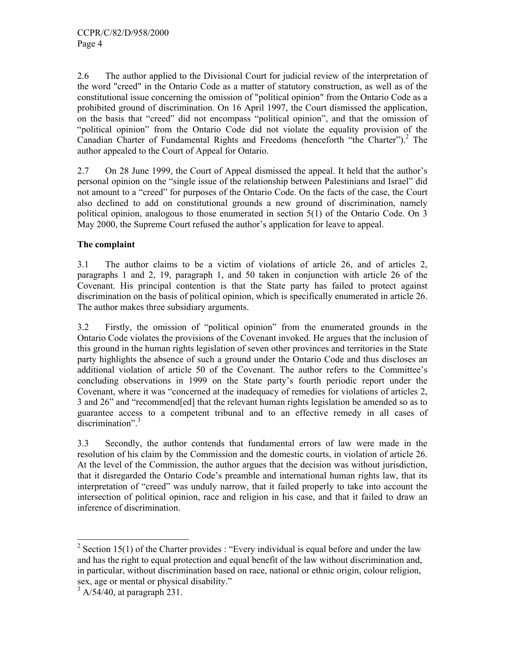2.6 The author applied to the Divisional Court for judicial review of the interpretation of the word "creed" in the Ontario Code as a matter of statutory construction, as well as of the constitutional issue concerning the omission of "political opinion" from the Ontario Code as a prohibited ground of discrimination. On 16 April 1997, the Court dismissed the application, on the basis that "creed" did not encompass "political opinion", and that the omission of "political opinion" from the Ontario Code did not violate the equality provision of the Canadian Charter of Fundamental Rights and Freedoms (henceforth "the Charter").<sup>2</sup> The author appealed to the Court of Appeal for Ontario.

2.7 On 28 June 1999, the Court of Appeal dismissed the appeal. It held that the author's personal opinion on the "single issue of the relationship between Palestinians and Israel" did not amount to a "creed" for purposes of the Ontario Code. On the facts of the case, the Court also declined to add on constitutional grounds a new ground of discrimination, namely political opinion, analogous to those enumerated in section 5(1) of the Ontario Code. On 3 May 2000, the Supreme Court refused the author's application for leave to appeal.

# **The complaint**

3.1 The author claims to be a victim of violations of article 26, and of articles 2, paragraphs 1 and 2, 19, paragraph 1, and 50 taken in conjunction with article 26 of the Covenant. His principal contention is that the State party has failed to protect against discrimination on the basis of political opinion, which is specifically enumerated in article 26. The author makes three subsidiary arguments.

3.2 Firstly, the omission of "political opinion" from the enumerated grounds in the Ontario Code violates the provisions of the Covenant invoked. He argues that the inclusion of this ground in the human rights legislation of seven other provinces and territories in the State party highlights the absence of such a ground under the Ontario Code and thus discloses an additional violation of article 50 of the Covenant. The author refers to the Committee's concluding observations in 1999 on the State party's fourth periodic report under the Covenant, where it was "concerned at the inadequacy of remedies for violations of articles 2, 3 and 26" and "recommend[ed] that the relevant human rights legislation be amended so as to guarantee access to a competent tribunal and to an effective remedy in all cases of discrimination".<sup>3</sup>

3.3 Secondly, the author contends that fundamental errors of law were made in the resolution of his claim by the Commission and the domestic courts, in violation of article 26. At the level of the Commission, the author argues that the decision was without jurisdiction, that it disregarded the Ontario Code's preamble and international human rights law, that its interpretation of "creed" was unduly narrow, that it failed properly to take into account the intersection of political opinion, race and religion in his case, and that it failed to draw an inference of discrimination.

 $\frac{1}{2}$  Section 15(1) of the Charter provides : "Every individual is equal before and under the law and has the right to equal protection and equal benefit of the law without discrimination and, in particular, without discrimination based on race, national or ethnic origin, colour religion, sex, age or mental or physical disability."

 $3$  A/54/40, at paragraph 231.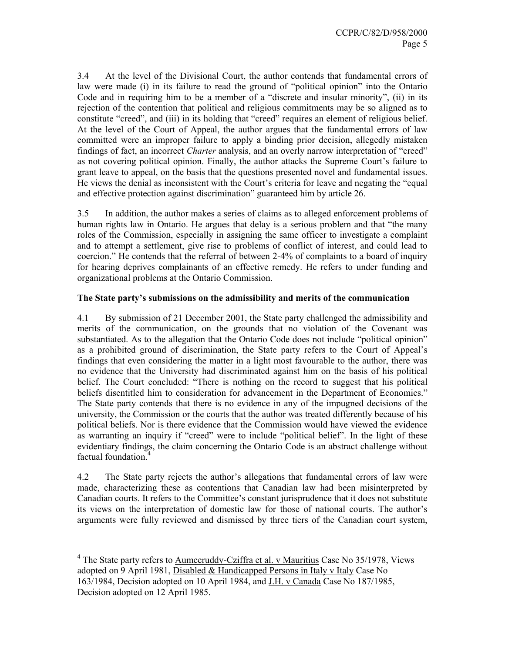3.4 At the level of the Divisional Court, the author contends that fundamental errors of law were made (i) in its failure to read the ground of "political opinion" into the Ontario Code and in requiring him to be a member of a "discrete and insular minority", (ii) in its rejection of the contention that political and religious commitments may be so aligned as to constitute "creed", and (iii) in its holding that "creed" requires an element of religious belief. At the level of the Court of Appeal, the author argues that the fundamental errors of law committed were an improper failure to apply a binding prior decision, allegedly mistaken findings of fact, an incorrect *Charter* analysis, and an overly narrow interpretation of "creed" as not covering political opinion. Finally, the author attacks the Supreme Court's failure to grant leave to appeal, on the basis that the questions presented novel and fundamental issues. He views the denial as inconsistent with the Court's criteria for leave and negating the "equal and effective protection against discrimination" guaranteed him by article 26.

3.5 In addition, the author makes a series of claims as to alleged enforcement problems of human rights law in Ontario. He argues that delay is a serious problem and that "the many roles of the Commission, especially in assigning the same officer to investigate a complaint and to attempt a settlement, give rise to problems of conflict of interest, and could lead to coercion." He contends that the referral of between 2-4% of complaints to a board of inquiry for hearing deprives complainants of an effective remedy. He refers to under funding and organizational problems at the Ontario Commission.

### **The State party's submissions on the admissibility and merits of the communication**

4.1 By submission of 21 December 2001, the State party challenged the admissibility and merits of the communication, on the grounds that no violation of the Covenant was substantiated. As to the allegation that the Ontario Code does not include "political opinion" as a prohibited ground of discrimination, the State party refers to the Court of Appeal's findings that even considering the matter in a light most favourable to the author, there was no evidence that the University had discriminated against him on the basis of his political belief. The Court concluded: "There is nothing on the record to suggest that his political beliefs disentitled him to consideration for advancement in the Department of Economics." The State party contends that there is no evidence in any of the impugned decisions of the university, the Commission or the courts that the author was treated differently because of his political beliefs. Nor is there evidence that the Commission would have viewed the evidence as warranting an inquiry if "creed" were to include "political belief". In the light of these evidentiary findings, the claim concerning the Ontario Code is an abstract challenge without factual foundation.<sup>4</sup>

4.2 The State party rejects the author's allegations that fundamental errors of law were made, characterizing these as contentions that Canadian law had been misinterpreted by Canadian courts. It refers to the Committee's constant jurisprudence that it does not substitute its views on the interpretation of domestic law for those of national courts. The author's arguments were fully reviewed and dismissed by three tiers of the Canadian court system,

<sup>&</sup>lt;sup>4</sup> The State party refers to <u>Aumeeruddy-Cziffra et al. v Mauritius</u> Case No 35/1978, Views adopted on 9 April 1981, Disabled & Handicapped Persons in Italy v Italy Case No 163/1984, Decision adopted on 10 April 1984, and J.H. v Canada Case No 187/1985, Decision adopted on 12 April 1985.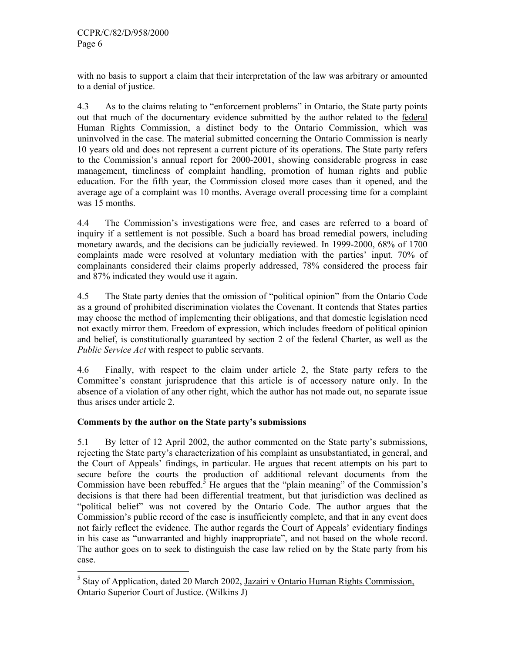with no basis to support a claim that their interpretation of the law was arbitrary or amounted to a denial of justice.

4.3 As to the claims relating to "enforcement problems" in Ontario, the State party points out that much of the documentary evidence submitted by the author related to the federal Human Rights Commission, a distinct body to the Ontario Commission, which was uninvolved in the case. The material submitted concerning the Ontario Commission is nearly 10 years old and does not represent a current picture of its operations. The State party refers to the Commission's annual report for 2000-2001, showing considerable progress in case management, timeliness of complaint handling, promotion of human rights and public education. For the fifth year, the Commission closed more cases than it opened, and the average age of a complaint was 10 months. Average overall processing time for a complaint was 15 months.

4.4 The Commission's investigations were free, and cases are referred to a board of inquiry if a settlement is not possible. Such a board has broad remedial powers, including monetary awards, and the decisions can be judicially reviewed. In 1999-2000, 68% of 1700 complaints made were resolved at voluntary mediation with the parties' input. 70% of complainants considered their claims properly addressed, 78% considered the process fair and 87% indicated they would use it again.

4.5 The State party denies that the omission of "political opinion" from the Ontario Code as a ground of prohibited discrimination violates the Covenant. It contends that States parties may choose the method of implementing their obligations, and that domestic legislation need not exactly mirror them. Freedom of expression, which includes freedom of political opinion and belief, is constitutionally guaranteed by section 2 of the federal Charter, as well as the *Public Service Act* with respect to public servants.

4.6 Finally, with respect to the claim under article 2, the State party refers to the Committee's constant jurisprudence that this article is of accessory nature only. In the absence of a violation of any other right, which the author has not made out, no separate issue thus arises under article 2.

# **Comments by the author on the State party's submissions**

5.1 By letter of 12 April 2002, the author commented on the State party's submissions, rejecting the State party's characterization of his complaint as unsubstantiated, in general, and the Court of Appeals' findings, in particular. He argues that recent attempts on his part to secure before the courts the production of additional relevant documents from the Commission have been rebuffed.<sup>3</sup> He argues that the "plain meaning" of the Commission's decisions is that there had been differential treatment, but that jurisdiction was declined as "political belief" was not covered by the Ontario Code. The author argues that the Commission's public record of the case is insufficiently complete, and that in any event does not fairly reflect the evidence. The author regards the Court of Appeals' evidentiary findings in his case as "unwarranted and highly inappropriate", and not based on the whole record. The author goes on to seek to distinguish the case law relied on by the State party from his case.

<sup>-</sup><sup>5</sup> Stay of Application, dated 20 March 2002, Jazairi v Ontario Human Rights Commission, Ontario Superior Court of Justice. (Wilkins J)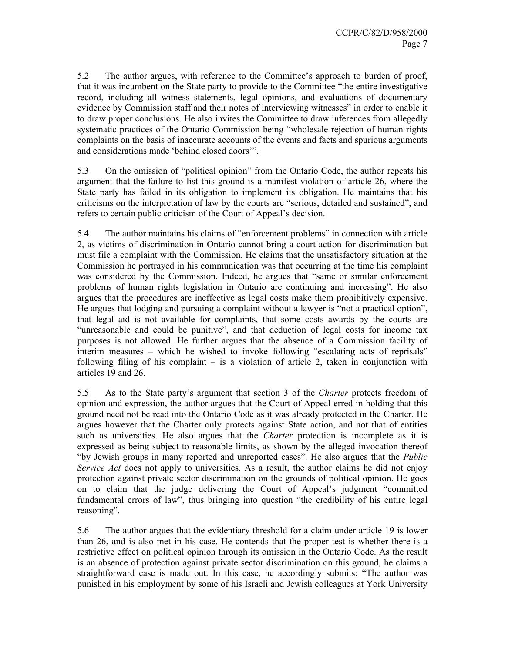5.2 The author argues, with reference to the Committee's approach to burden of proof, that it was incumbent on the State party to provide to the Committee "the entire investigative record, including all witness statements, legal opinions, and evaluations of documentary evidence by Commission staff and their notes of interviewing witnesses" in order to enable it to draw proper conclusions. He also invites the Committee to draw inferences from allegedly systematic practices of the Ontario Commission being "wholesale rejection of human rights complaints on the basis of inaccurate accounts of the events and facts and spurious arguments and considerations made 'behind closed doors'".

5.3 On the omission of "political opinion" from the Ontario Code, the author repeats his argument that the failure to list this ground is a manifest violation of article 26, where the State party has failed in its obligation to implement its obligation. He maintains that his criticisms on the interpretation of law by the courts are "serious, detailed and sustained", and refers to certain public criticism of the Court of Appeal's decision.

5.4 The author maintains his claims of "enforcement problems" in connection with article 2, as victims of discrimination in Ontario cannot bring a court action for discrimination but must file a complaint with the Commission. He claims that the unsatisfactory situation at the Commission he portrayed in his communication was that occurring at the time his complaint was considered by the Commission. Indeed, he argues that "same or similar enforcement problems of human rights legislation in Ontario are continuing and increasing". He also argues that the procedures are ineffective as legal costs make them prohibitively expensive. He argues that lodging and pursuing a complaint without a lawyer is "not a practical option", that legal aid is not available for complaints, that some costs awards by the courts are "unreasonable and could be punitive", and that deduction of legal costs for income tax purposes is not allowed. He further argues that the absence of a Commission facility of interim measures – which he wished to invoke following "escalating acts of reprisals" following filing of his complaint – is a violation of article 2, taken in conjunction with articles 19 and 26.

5.5 As to the State party's argument that section 3 of the *Charter* protects freedom of opinion and expression, the author argues that the Court of Appeal erred in holding that this ground need not be read into the Ontario Code as it was already protected in the Charter. He argues however that the Charter only protects against State action, and not that of entities such as universities. He also argues that the *Charter* protection is incomplete as it is expressed as being subject to reasonable limits, as shown by the alleged invocation thereof "by Jewish groups in many reported and unreported cases". He also argues that the *Public Service Act* does not apply to universities. As a result, the author claims he did not enjoy protection against private sector discrimination on the grounds of political opinion. He goes on to claim that the judge delivering the Court of Appeal's judgment "committed fundamental errors of law", thus bringing into question "the credibility of his entire legal reasoning".

5.6 The author argues that the evidentiary threshold for a claim under article 19 is lower than 26, and is also met in his case. He contends that the proper test is whether there is a restrictive effect on political opinion through its omission in the Ontario Code. As the result is an absence of protection against private sector discrimination on this ground, he claims a straightforward case is made out. In this case, he accordingly submits: "The author was punished in his employment by some of his Israeli and Jewish colleagues at York University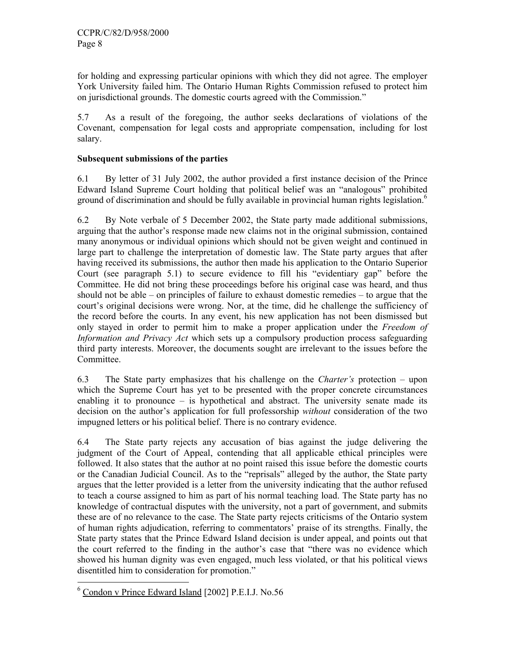for holding and expressing particular opinions with which they did not agree. The employer York University failed him. The Ontario Human Rights Commission refused to protect him on jurisdictional grounds. The domestic courts agreed with the Commission."

5.7 As a result of the foregoing, the author seeks declarations of violations of the Covenant, compensation for legal costs and appropriate compensation, including for lost salary.

# **Subsequent submissions of the parties**

6.1 By letter of 31 July 2002, the author provided a first instance decision of the Prince Edward Island Supreme Court holding that political belief was an "analogous" prohibited ground of discrimination and should be fully available in provincial human rights legislation.<sup>6</sup>

6.2 By Note verbale of 5 December 2002, the State party made additional submissions, arguing that the author's response made new claims not in the original submission, contained many anonymous or individual opinions which should not be given weight and continued in large part to challenge the interpretation of domestic law. The State party argues that after having received its submissions, the author then made his application to the Ontario Superior Court (see paragraph 5.1) to secure evidence to fill his "evidentiary gap" before the Committee. He did not bring these proceedings before his original case was heard, and thus should not be able – on principles of failure to exhaust domestic remedies – to argue that the court's original decisions were wrong. Nor, at the time, did he challenge the sufficiency of the record before the courts. In any event, his new application has not been dismissed but only stayed in order to permit him to make a proper application under the *Freedom of Information and Privacy Act* which sets up a compulsory production process safeguarding third party interests. Moreover, the documents sought are irrelevant to the issues before the Committee.

6.3 The State party emphasizes that his challenge on the *Charter's* protection – upon which the Supreme Court has yet to be presented with the proper concrete circumstances enabling it to pronounce – is hypothetical and abstract. The university senate made its decision on the author's application for full professorship *without* consideration of the two impugned letters or his political belief. There is no contrary evidence.

6.4 The State party rejects any accusation of bias against the judge delivering the judgment of the Court of Appeal, contending that all applicable ethical principles were followed. It also states that the author at no point raised this issue before the domestic courts or the Canadian Judicial Council. As to the "reprisals" alleged by the author, the State party argues that the letter provided is a letter from the university indicating that the author refused to teach a course assigned to him as part of his normal teaching load. The State party has no knowledge of contractual disputes with the university, not a part of government, and submits these are of no relevance to the case. The State party rejects criticisms of the Ontario system of human rights adjudication, referring to commentators' praise of its strengths. Finally, the State party states that the Prince Edward Island decision is under appeal, and points out that the court referred to the finding in the author's case that "there was no evidence which showed his human dignity was even engaged, much less violated, or that his political views disentitled him to consideration for promotion."

<sup>-</sup><sup>6</sup> Condon v Prince Edward Island [2002] P.E.I.J. No.56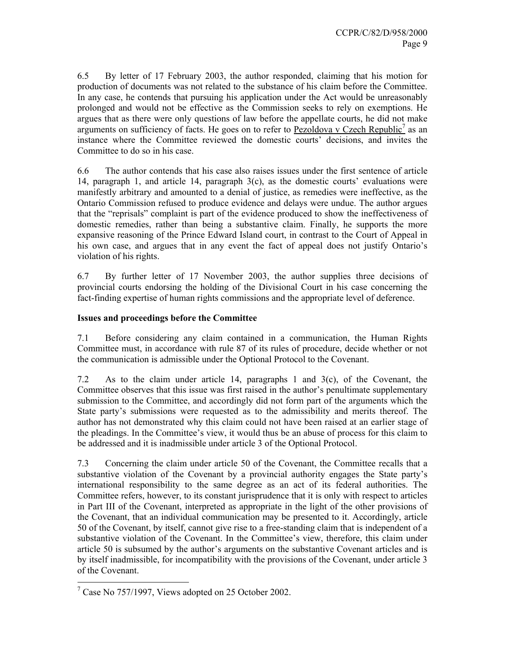6.5 By letter of 17 February 2003, the author responded, claiming that his motion for production of documents was not related to the substance of his claim before the Committee. In any case, he contends that pursuing his application under the Act would be unreasonably prolonged and would not be effective as the Commission seeks to rely on exemptions. He argues that as there were only questions of law before the appellate courts, he did not make arguments on sufficiency of facts. He goes on to refer to  $Pezoldova v Czech Republic<sup>7</sup>$  as an</u> instance where the Committee reviewed the domestic courts' decisions, and invites the Committee to do so in his case.

6.6 The author contends that his case also raises issues under the first sentence of article 14, paragraph 1, and article 14, paragraph 3(c), as the domestic courts' evaluations were manifestly arbitrary and amounted to a denial of justice, as remedies were ineffective, as the Ontario Commission refused to produce evidence and delays were undue. The author argues that the "reprisals" complaint is part of the evidence produced to show the ineffectiveness of domestic remedies, rather than being a substantive claim. Finally, he supports the more expansive reasoning of the Prince Edward Island court, in contrast to the Court of Appeal in his own case, and argues that in any event the fact of appeal does not justify Ontario's violation of his rights.

6.7 By further letter of 17 November 2003, the author supplies three decisions of provincial courts endorsing the holding of the Divisional Court in his case concerning the fact-finding expertise of human rights commissions and the appropriate level of deference.

# **Issues and proceedings before the Committee**

7.1 Before considering any claim contained in a communication, the Human Rights Committee must, in accordance with rule 87 of its rules of procedure, decide whether or not the communication is admissible under the Optional Protocol to the Covenant.

7.2 As to the claim under article 14, paragraphs 1 and 3(c), of the Covenant, the Committee observes that this issue was first raised in the author's penultimate supplementary submission to the Committee, and accordingly did not form part of the arguments which the State party's submissions were requested as to the admissibility and merits thereof. The author has not demonstrated why this claim could not have been raised at an earlier stage of the pleadings. In the Committee's view, it would thus be an abuse of process for this claim to be addressed and it is inadmissible under article 3 of the Optional Protocol.

7.3 Concerning the claim under article 50 of the Covenant, the Committee recalls that a substantive violation of the Covenant by a provincial authority engages the State party's international responsibility to the same degree as an act of its federal authorities. The Committee refers, however, to its constant jurisprudence that it is only with respect to articles in Part III of the Covenant, interpreted as appropriate in the light of the other provisions of the Covenant, that an individual communication may be presented to it. Accordingly, article 50 of the Covenant, by itself, cannot give rise to a free-standing claim that is independent of a substantive violation of the Covenant. In the Committee's view, therefore, this claim under article 50 is subsumed by the author's arguments on the substantive Covenant articles and is by itself inadmissible, for incompatibility with the provisions of the Covenant, under article 3 of the Covenant.

 $\frac{1}{7}$  Case No 757/1997, Views adopted on 25 October 2002.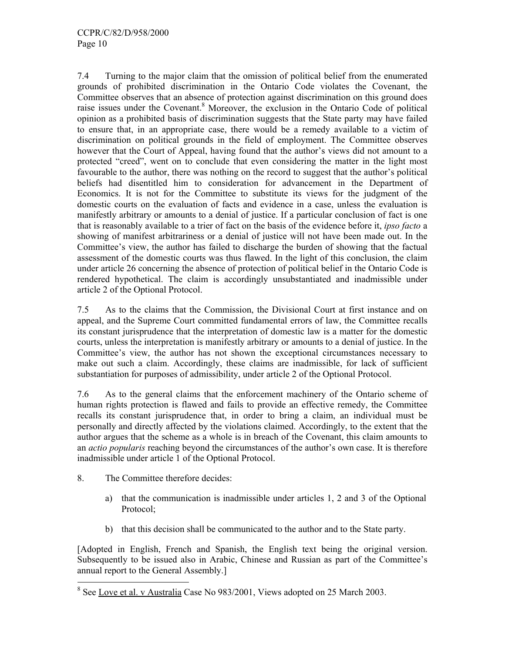7.4 Turning to the major claim that the omission of political belief from the enumerated grounds of prohibited discrimination in the Ontario Code violates the Covenant, the Committee observes that an absence of protection against discrimination on this ground does raise issues under the Covenant.<sup>8</sup> Moreover, the exclusion in the Ontario Code of political opinion as a prohibited basis of discrimination suggests that the State party may have failed to ensure that, in an appropriate case, there would be a remedy available to a victim of discrimination on political grounds in the field of employment. The Committee observes however that the Court of Appeal, having found that the author's views did not amount to a protected "creed", went on to conclude that even considering the matter in the light most favourable to the author, there was nothing on the record to suggest that the author's political beliefs had disentitled him to consideration for advancement in the Department of Economics. It is not for the Committee to substitute its views for the judgment of the domestic courts on the evaluation of facts and evidence in a case, unless the evaluation is manifestly arbitrary or amounts to a denial of justice. If a particular conclusion of fact is one that is reasonably available to a trier of fact on the basis of the evidence before it, *ipso facto* a showing of manifest arbitrariness or a denial of justice will not have been made out. In the Committee's view, the author has failed to discharge the burden of showing that the factual assessment of the domestic courts was thus flawed. In the light of this conclusion, the claim under article 26 concerning the absence of protection of political belief in the Ontario Code is rendered hypothetical. The claim is accordingly unsubstantiated and inadmissible under article 2 of the Optional Protocol.

7.5 As to the claims that the Commission, the Divisional Court at first instance and on appeal, and the Supreme Court committed fundamental errors of law, the Committee recalls its constant jurisprudence that the interpretation of domestic law is a matter for the domestic courts, unless the interpretation is manifestly arbitrary or amounts to a denial of justice. In the Committee's view, the author has not shown the exceptional circumstances necessary to make out such a claim. Accordingly, these claims are inadmissible, for lack of sufficient substantiation for purposes of admissibility, under article 2 of the Optional Protocol.

7.6 As to the general claims that the enforcement machinery of the Ontario scheme of human rights protection is flawed and fails to provide an effective remedy, the Committee recalls its constant jurisprudence that, in order to bring a claim, an individual must be personally and directly affected by the violations claimed. Accordingly, to the extent that the author argues that the scheme as a whole is in breach of the Covenant, this claim amounts to an *actio popularis* reaching beyond the circumstances of the author's own case. It is therefore inadmissible under article 1 of the Optional Protocol.

- 8. The Committee therefore decides:
	- a) that the communication is inadmissible under articles 1, 2 and 3 of the Optional Protocol;
	- b) that this decision shall be communicated to the author and to the State party.

[Adopted in English, French and Spanish, the English text being the original version. Subsequently to be issued also in Arabic, Chinese and Russian as part of the Committee's annual report to the General Assembly.]

<sup>&</sup>lt;sup>8</sup> See Love et al. v Australia Case No 983/2001, Views adopted on 25 March 2003.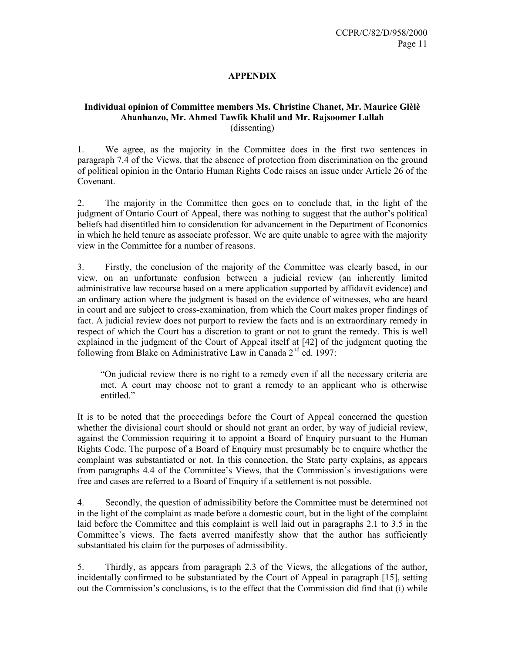# **APPENDIX**

#### **Individual opinion of Committee members Ms. Christine Chanet, Mr. Maurice Glèlè Ahanhanzo, Mr. Ahmed Tawfik Khalil and Mr. Rajsoomer Lallah**  (dissenting)

1. We agree, as the majority in the Committee does in the first two sentences in paragraph 7.4 of the Views, that the absence of protection from discrimination on the ground of political opinion in the Ontario Human Rights Code raises an issue under Article 26 of the Covenant.

2. The majority in the Committee then goes on to conclude that, in the light of the judgment of Ontario Court of Appeal, there was nothing to suggest that the author's political beliefs had disentitled him to consideration for advancement in the Department of Economics in which he held tenure as associate professor. We are quite unable to agree with the majority view in the Committee for a number of reasons.

3. Firstly, the conclusion of the majority of the Committee was clearly based, in our view, on an unfortunate confusion between a judicial review (an inherently limited administrative law recourse based on a mere application supported by affidavit evidence) and an ordinary action where the judgment is based on the evidence of witnesses, who are heard in court and are subject to cross-examination, from which the Court makes proper findings of fact. A judicial review does not purport to review the facts and is an extraordinary remedy in respect of which the Court has a discretion to grant or not to grant the remedy. This is well explained in the judgment of the Court of Appeal itself at [42] of the judgment quoting the following from Blake on Administrative Law in Canada  $2<sup>nd</sup>$  ed. 1997:

"On judicial review there is no right to a remedy even if all the necessary criteria are met. A court may choose not to grant a remedy to an applicant who is otherwise entitled."

It is to be noted that the proceedings before the Court of Appeal concerned the question whether the divisional court should or should not grant an order, by way of judicial review, against the Commission requiring it to appoint a Board of Enquiry pursuant to the Human Rights Code. The purpose of a Board of Enquiry must presumably be to enquire whether the complaint was substantiated or not. In this connection, the State party explains, as appears from paragraphs 4.4 of the Committee's Views, that the Commission's investigations were free and cases are referred to a Board of Enquiry if a settlement is not possible.

4. Secondly, the question of admissibility before the Committee must be determined not in the light of the complaint as made before a domestic court, but in the light of the complaint laid before the Committee and this complaint is well laid out in paragraphs 2.1 to 3.5 in the Committee's views. The facts averred manifestly show that the author has sufficiently substantiated his claim for the purposes of admissibility.

5. Thirdly, as appears from paragraph 2.3 of the Views, the allegations of the author, incidentally confirmed to be substantiated by the Court of Appeal in paragraph [15], setting out the Commission's conclusions, is to the effect that the Commission did find that (i) while